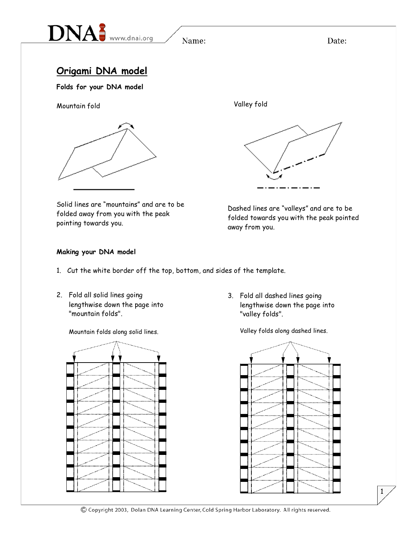

Date:

## **Origami DNA model**

**Folds for your DNA model**

Mountain fold



Valley fold



Solid lines are "mountains" and are to be folded away from you with the peak pointing towards you.

Dashed lines are "valleys" and are to be folded towards you with the peak pointed away from you.

### **Making your DNA model**

- 1. Cut the white border off the top, bottom, and sides of the template.
- 2. Fold all solid lines going lengthwise down the page into "mountain folds".

Mountain folds along solid lines. Valley folds along dashed lines.



3. Fold all dashed lines going lengthwise down the page into "valley folds".



1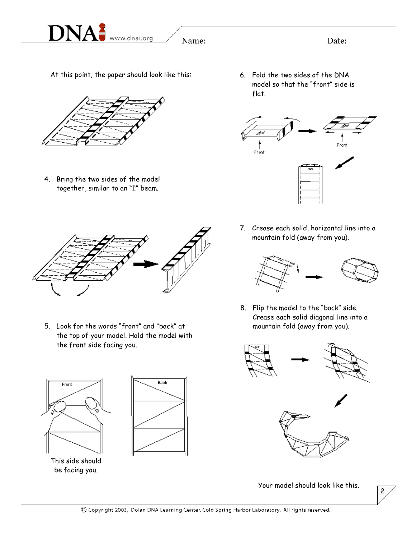

At this point, the paper should look like this:



4. Bring the two sides of the model together, similar to an "I" beam.

6. Fold the two sides of the DNA model so that the "front" side is flat.

Date:



- - 5. Look for the words "front" and "back" at the top of your model. Hold the model with the front side facing you.





be facing you.

7. Crease each solid, horizontal line into a mountain fold (away from you).



8. Flip the model to the "back" side. Crease each solid diagonal line into a mountain fold (away from you).



Your model should look like this.

2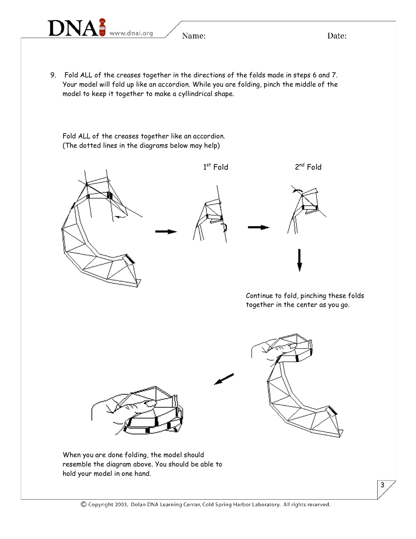9. Fold ALL of the creases together in the directions of the folds made in steps 6 and 7. Your model will fold up like an accordion. While you are folding, pinch the middle of the model to keep it together to make a cyllindrical shape.

Fold ALL of the creases together like an accordion. (The dotted lines in the diagrams below may help)



3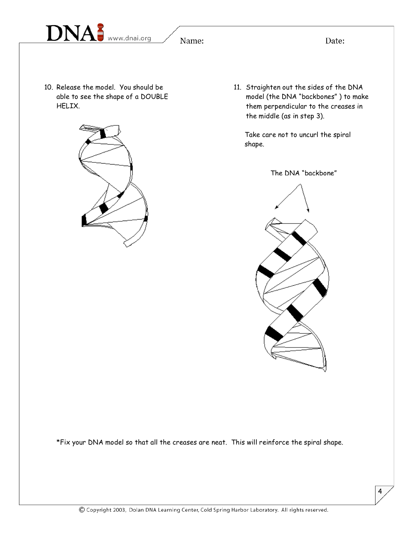

Date:

10. Release the model. You should be able to see the shape of a DOUBLE HELIX.



11. Straighten out the sides of the DNA model (the DNA "backbones" ) to make them perpendicular to the creases in the middle (as in step 3).

Take care not to uncurl the spiral shape.





\*Fix your DNA model so that all the creases are neat. This will reinforce the spiral shape.